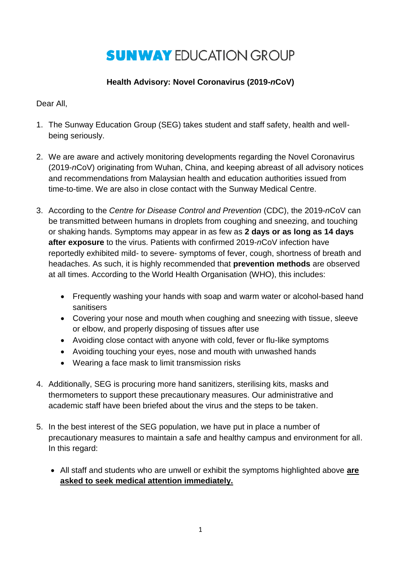## **SUNWAY EDUCATION GROUP**

## **Health Advisory: Novel Coronavirus (2019-***n***CoV)**

Dear All,

- 1. The Sunway Education Group (SEG) takes student and staff safety, health and wellbeing seriously.
- 2. We are aware and actively monitoring developments regarding the Novel Coronavirus (2019-*n*CoV) originating from Wuhan, China, and keeping abreast of all advisory notices and recommendations from Malaysian health and education authorities issued from time-to-time. We are also in close contact with the Sunway Medical Centre.
- 3. According to the *Centre for Disease Control and Prevention* (CDC), the 2019-*n*CoV can be transmitted between humans in droplets from coughing and sneezing, and touching or shaking hands. Symptoms may appear in as few as **2 days or as long as 14 days after exposure** to the virus. Patients with confirmed 2019-*n*CoV infection have reportedly exhibited mild- to severe- symptoms of fever, cough, shortness of breath and headaches. As such, it is highly recommended that **prevention methods** are observed at all times. According to the World Health Organisation (WHO), this includes:
	- Frequently washing your hands with soap and warm water or alcohol-based hand sanitisers
	- Covering your nose and mouth when coughing and sneezing with tissue, sleeve or elbow, and properly disposing of tissues after use
	- Avoiding close contact with anyone with cold, fever or flu-like symptoms
	- Avoiding touching your eyes, nose and mouth with unwashed hands
	- Wearing a face mask to limit transmission risks
- 4. Additionally, SEG is procuring more hand sanitizers, sterilising kits, masks and thermometers to support these precautionary measures. Our administrative and academic staff have been briefed about the virus and the steps to be taken.
- 5. In the best interest of the SEG population, we have put in place a number of precautionary measures to maintain a safe and healthy campus and environment for all. In this regard:
	- All staff and students who are unwell or exhibit the symptoms highlighted above **are asked to seek medical attention immediately.**